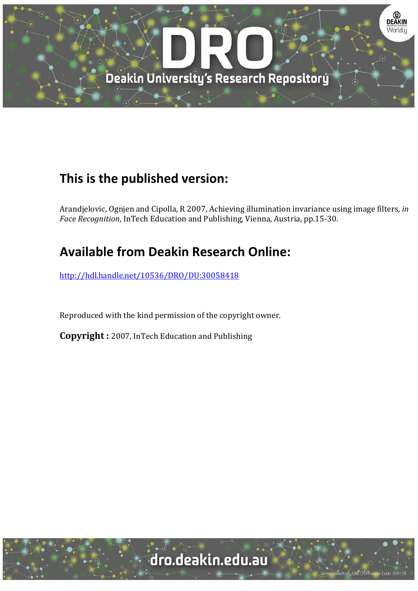

# **This is the published version:**

Arandjelovic, Ognjen and Cipolla, R 2007, Achieving illumination invariance using image filters, *in Face Recognition*, InTech Education and Publishing, Vienna, Austria, pp.15-30.

# **Available from Deakin Research Online:**

http://hdl.handle.net/10536/DRO/DU:30058418

Reproduced with the kind permission of the copyright owner.

**Copyright** : 2007, InTech Education and Publishing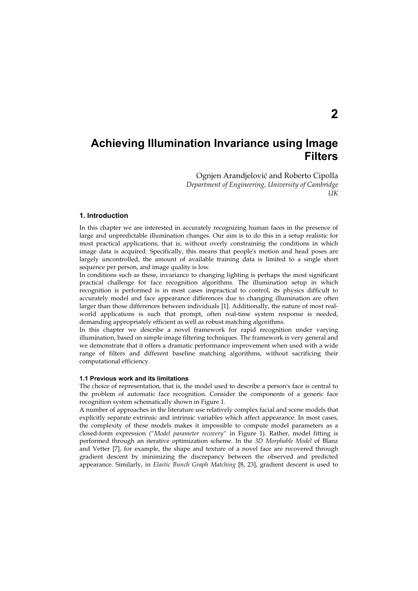# **Achieving Illumination Invariance using Image Filters**

Ognjen Arandjelović and Roberto Cipolla *Department of Engineering, University of Cambridge UK*

## **1. Introduction**

In this chapter we are interested in accurately recognizing human faces in the presence of large and unpredictable illumination changes. Our aim is to do this in a setup realistic for most practical applications, that is, without overly constraining the conditions in which image data is acquired. Specifically, this means that people's motion and head poses are largely uncontrolled, the amount of available training data is limited to a single short sequence per person, and image quality is low.

In conditions such as these, invariance to changing lighting is perhaps the most significant practical challenge for face recognition algorithms. The illumination setup in which recognition is performed is in most cases impractical to control, its physics difficult to accurately model and face appearance differences due to changing illumination are often larger than those differences between individuals [1]. Additionally, the nature of most realworld applications is such that prompt, often real-time system response is needed, demanding appropriately efficient as well as robust matching algorithms.

In this chapter we describe a novel framework for rapid recognition under varying illumination, based on simple image filtering techniques. The framework is very general and we demonstrate that it offers a dramatic performance improvement when used with a wide range of filters and different baseline matching algorithms, without sacrificing their computational efficiency.

#### **1.1 Previous work and its limitations**

The choice of representation, that is, the model used to describe a person's face is central to the problem of automatic face recognition. Consider the components of a generic face recognition system schematically shown in Figure 1.

A number of approaches in the literature use relatively complex facial and scene models that explicitly separate extrinsic and intrinsic variables which affect appearance. In most cases, the complexity of these models makes it impossible to compute model parameters as a closed-form expression *("Model parameter recovery"* in Figure 1). Rather, model fitting is performed through an iterative optimization scheme. In the *3D Morphable Model* of Blanz and Vetter [7], for example, the shape and texture of a novel face are recovered through gradient descent by minimizing the discrepancy between the observed and predicted appearance. Similarly, in *Elastic Bunch Graph Matching* [8, 23], gradient descent is used to

# **2**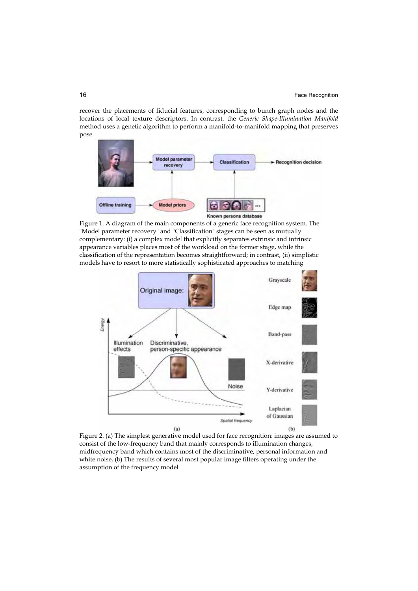recover the placements of fiducial features, corresponding to bunch graph nodes and the locations of local texture descriptors. In contrast, the *Generic Shape-Illumination Manifold*  method uses a genetic algorithm to perform a manifold-to-manifold mapping that preserves pose.



Figure 1. A diagram of the main components of a generic face recognition system. The "Model parameter recovery" and "Classification" stages can be seen as mutually complementary: (i) a complex model that explicitly separates extrinsic and intrinsic appearance variables places most of the workload on the former stage, while the classification of the representation becomes straightforward; in contrast, (ii) simplistic models have to resort to more statistically sophisticated approaches to matching



Figure 2. (a) The simplest generative model used for face recognition: images are assumed to consist of the low-frequency band that mainly corresponds to illumination changes, midfrequency band which contains most of the discriminative, personal information and white noise, (b) The results of several most popular image filters operating under the assumption of the frequency model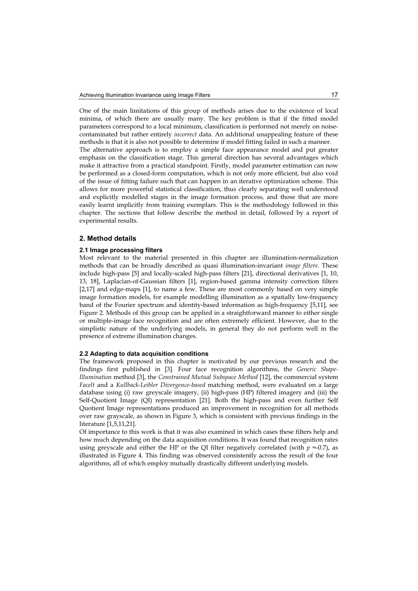One of the main limitations of this group of methods arises due to the existence of local minima, of which there are usually many. The key problem is that if the fitted model parameters correspond to a local minimum, classification is performed not merely on noisecontaminated but rather entirely *incorrect* data. An additional unappealing feature of these methods is that it is also not possible to determine if model fitting failed in such a manner. The alternative approach is to employ a simple face appearance model and put greater emphasis on the classification stage. This general direction has several advantages which make it attractive from a practical standpoint. Firstly, model parameter estimation can now be performed as a closed-form computation, which is not only more efficient, but also void of the issue of fitting failure such that can happen in an iterative optimization scheme. This allows for more powerful statistical classification, thus clearly separating well understood and explicitly modelled stages in the image formation process, and those that are more easily learnt implicitly from training exemplars. This is the methodology followed in this chapter. The sections that follow describe the method in detail, followed by a report of experimental results.

### **2. Method details**

#### **2.1 Image processing filters**

Most relevant to the material presented in this chapter are illumination-normalization methods that can be broadly described as quasi illumination-invariant *image filters.* These include high-pass [5] and locally-scaled high-pass filters [21], directional derivatives [1, 10, 13, 18], Laplacian-of-Gaussian filters [1], region-based gamma intensity correction filters [2,17] and edge-maps [1], to name a few. These are most commonly based on very simple image formation models, for example modelling illumination as a spatially low-frequency band of the Fourier spectrum and identity-based information as high-frequency [5,11], see Figure 2. Methods of this group can be applied in a straightforward manner to either single or multiple-image face recognition and are often extremely efficient. However, due to the simplistic nature of the underlying models, in general they do not perform well in the presence of extreme illumination changes.

#### **2.2 Adapting to data acquisition conditions**

The framework proposed in this chapter is motivated by our previous research and the findings first published in [3]. Four face recognition algorithms, the *Generic Shape-Illumination* method [3], the *Constrained Mutual Subspace Method* [12], the commercial system *Facelt* and a *Kullback-Leibler Divergence-based* matching method, were evaluated on a large database using (i) raw greyscale imagery, (ii) high-pass (HP) filtered imagery and (iii) the Self-Quotient Image (QI) representation [21]. Both the high-pass and even further Self Quotient Image representations produced an improvement in recognition for all methods over raw grayscale, as shown in Figure 3, which is consistent with previous findings in the literature [1,5,11,21].

Of importance to this work is that it was also examined in which cases these filters help and how much depending on the data acquisition conditions. It was found that recognition rates using greyscale and either the HP or the QI filter negatively correlated (with  $p \approx 0.7$ ), as illustrated in Figure 4. This finding was observed consistently across the result of the four algorithms, all of which employ mutually drastically different underlying models.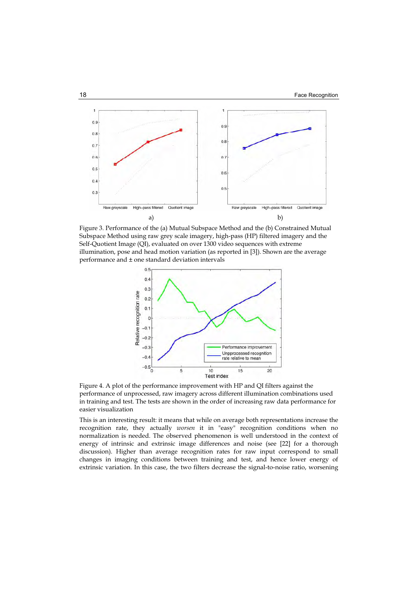

Figure 3. Performance of the (a) Mutual Subspace Method and the (b) Constrained Mutual Subspace Method using raw grey scale imagery, high-pass (HP) filtered imagery and the Self-Quotient Image (QI), evaluated on over 1300 video sequences with extreme illumination, pose and head motion variation (as reported in [3]). Shown are the average performance and ± one standard deviation intervals



Figure 4. A plot of the performance improvement with HP and QI filters against the performance of unprocessed, raw imagery across different illumination combinations used in training and test. The tests are shown in the order of increasing raw data performance for easier visualization

This is an interesting result: it means that while on average both representations increase the recognition rate, they actually *worsen* it in "easy" recognition conditions when no normalization is needed. The observed phenomenon is well understood in the context of energy of intrinsic and extrinsic image differences and noise (see [22] for a thorough discussion). Higher than average recognition rates for raw input correspond to small changes in imaging conditions between training and test, and hence lower energy of extrinsic variation. In this case, the two filters decrease the signal-to-noise ratio, worsening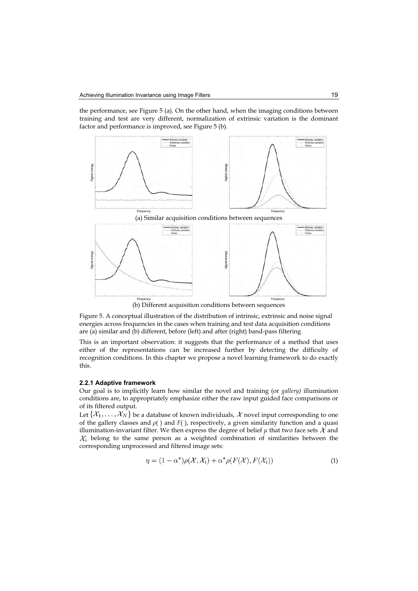the performance, see Figure 5 (a). On the other hand, when the imaging conditions between training and test are very different, normalization of extrinsic variation is the dominant factor and performance is improved, see Figure 5 (b).



(b) Different acquisition conditions between sequences

Figure 5. A conceptual illustration of the distribution of intrinsic, extrinsic and noise signal energies across frequencies in the cases when training and test data acquisition conditions are (a) similar and (b) different, before (left) and after (right) band-pass filtering

This is an important observation: it suggests that the performance of a method that uses either of the representations can be increased further by detecting the difficulty of recognition conditions. In this chapter we propose a novel learning framework to do exactly this.

## **2.2.1 Adaptive framework**

Our goal is to implicitly learn how similar the novel and training (or *gallery)* illumination conditions are, to appropriately emphasize either the raw input guided face comparisons or of its filtered output.

Let  $\{\mathcal{X}_1,\ldots,\mathcal{X}_N\}$  be a database of known individuals, X novel input corresponding to one of the gallery classes and  $\rho$ () and  $F$ (), respectively, a given similarity function and a quasi illumination-invariant filter. We then express the degree of belief  $\mu$  that two face sets  $\mathcal X$  and  $\mathcal{X}_i$  belong to the same person as a weighted combination of similarities between the corresponding unprocessed and filtered image sets:

$$
\eta = (1 - \alpha^*)\rho(\mathcal{X}, \mathcal{X}_i) + \alpha^* \rho(F(\mathcal{X}), F(\mathcal{X}_i))
$$
\n<sup>(1)</sup>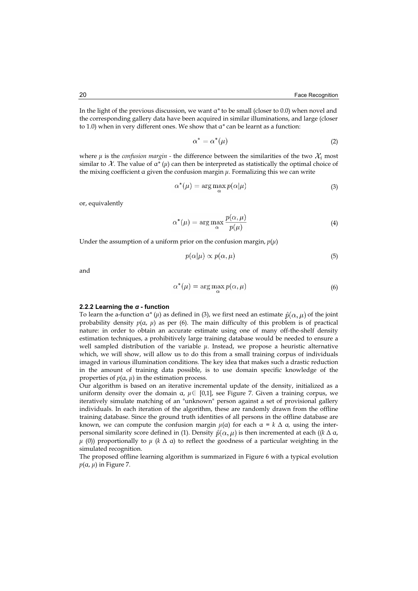In the light of the previous discussion, we want  $\alpha^*$  to be small (closer to 0.0) when novel and the corresponding gallery data have been acquired in similar illuminations, and large (closer to 1.0) when in very different ones. We show that  $\alpha^*$  can be learnt as a function:

$$
\alpha^* = \alpha^*(\mu) \tag{2}
$$

where  $\mu$  is the *confusion margin* - the difference between the similarities of the two  $\mathcal{X}_i$  most similar to  $\mathcal X$ . The value of  $\alpha^*(\mu)$  can then be interpreted as statistically the optimal choice of the mixing coefficient  $\alpha$  given the confusion margin  $\mu$ . Formalizing this we can write

$$
\alpha^*(\mu) = \arg \max_{\alpha} p(\alpha|\mu) \tag{3}
$$

or, equivalently

$$
\alpha^*(\mu) = \arg\max_{\alpha} \frac{p(\alpha, \mu)}{p(\mu)} \tag{4}
$$

Under the assumption of a uniform prior on the confusion margin,  $p(\mu)$ 

$$
p(\alpha|\mu) \propto p(\alpha, \mu) \tag{5}
$$

and

$$
\alpha^*(\mu) = \arg\max_{\alpha} p(\alpha, \mu) \tag{6}
$$

#### **2.2.2 Learning the**  $\alpha$  **- function**

To learn the a-function  $\alpha^* (\mu)$  as defined in (3), we first need an estimate  $\hat{p}(\alpha, \mu)$  of the joint probability density  $p(\alpha, \mu)$  as per (6). The main difficulty of this problem is of practical nature: in order to obtain an accurate estimate using one of many off-the-shelf density estimation techniques, a prohibitively large training database would be needed to ensure a well sampled distribution of the variable *μ*. Instead, we propose a heuristic alternative which, we will show, will allow us to do this from a small training corpus of individuals imaged in various illumination conditions. The key idea that makes such a drastic reduction in the amount of training data possible, is to use domain specific knowledge of the properties of  $p(\alpha, \mu)$  in the estimation process.

Our algorithm is based on an iterative incremental update of the density, initialized as a uniform density over the domain  $\alpha$ ,  $\mu \in [0,1]$ , see Figure 7. Given a training corpus, we iteratively simulate matching of an "unknown" person against a set of provisional gallery individuals. In each iteration of the algorithm, these are randomly drawn from the offline training database. Since the ground truth identities of all persons in the offline database are known, we can compute the confusion margin  $\mu(\alpha)$  for each  $\alpha = k \Delta \alpha$ , using the interpersonal similarity score defined in (1). Density  $\hat{p}(\alpha, \mu)$  is then incremented at each (( $k \Delta \alpha$ , *μ* (0)) proportionally to *μ* ( $k \Delta \alpha$ ) to reflect the goodness of a particular weighting in the simulated recognition.

The proposed offline learning algorithm is summarized in Figure 6 with a typical evolution  $p(\alpha, \mu)$  in Figure 7.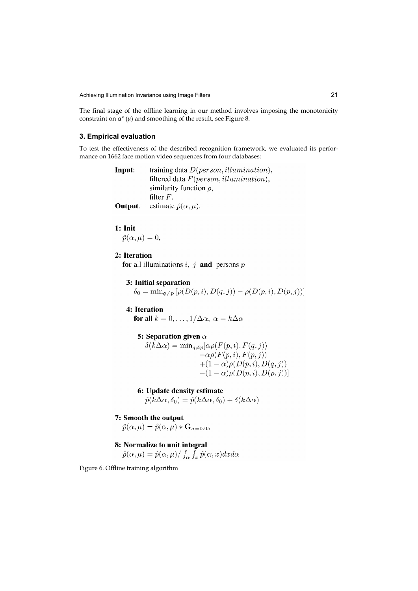The final stage of the offline learning in our method involves imposing the monotonicity constraint on  $\alpha^*$  ( $\mu$ ) and smoothing of the result, see Figure 8.

# **3. Empirical evaluation**

To test the effectiveness of the described recognition framework, we evaluated its performance on 1662 face motion video sequences from four databases:

| Input:                              | training data $D(person, illumination)$ ,<br>filtered data $F(person, illumination)$ ,                                                                                                                            |
|-------------------------------------|-------------------------------------------------------------------------------------------------------------------------------------------------------------------------------------------------------------------|
|                                     | similarity function $\rho$ ,                                                                                                                                                                                      |
|                                     | filter $F$ .                                                                                                                                                                                                      |
| Output:                             | estimate $\hat{p}(\alpha, \mu)$ .                                                                                                                                                                                 |
| 1: Init<br>$\hat{p}(\alpha,\mu)=0,$ |                                                                                                                                                                                                                   |
| 2: Iteration                        | for all illuminations $i, j$ and persons $p$                                                                                                                                                                      |
|                                     | 3: Initial separation<br>$\delta_0 = \min_{q \neq p} [\rho(D(p, i), D(q, j)) - \rho(D(p, i), D(p, j))]$                                                                                                           |
| 4: Iteration                        | for all $k = 0, \ldots, 1/\Delta \alpha, \ \alpha = k \Delta \alpha$                                                                                                                                              |
|                                     | 5: Separation given $\alpha$<br>$\delta(k\Delta\alpha) = \min_{q\neq p} [\alpha \rho(F(p,i), F(q,j))]$<br>$-\alpha \rho(F(p,i), F(p,i))$<br>$+(1-\alpha)\rho(D(p,i),D(q,j))$<br>$-(1-\alpha)\rho(D(p,i),D(p,j))]$ |
|                                     | 6: Update density estimate<br>$\hat{p}(k\Delta\alpha,\delta_0)=\hat{p}(k\Delta\alpha,\delta_0)+\delta(k\Delta\alpha)$                                                                                             |
|                                     | 7: Smooth the output<br>$\hat{p}(\alpha,\mu) = \hat{p}(\alpha,\mu) * \mathbf{G}_{\sigma=0.05}$                                                                                                                    |
|                                     | ing align da cente indamnal.                                                                                                                                                                                      |

8: Normalize to unit integral  $\hat{p}(\alpha,\mu) = \hat{p}(\alpha,\mu)/\int_{\alpha}\int_{x}\hat{p}(\alpha,x)dxd\alpha$ 

Figure 6. Offline training algorithm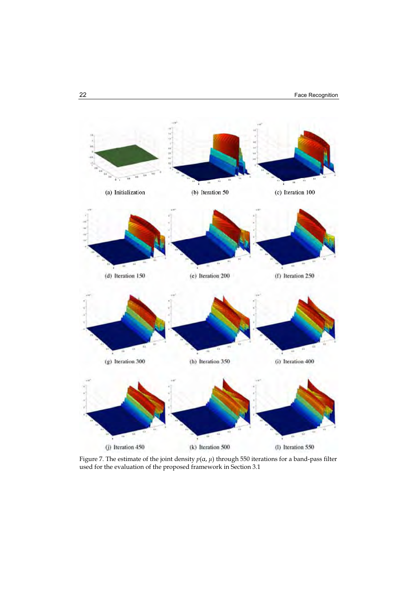

Figure 7. The estimate of the joint density  $p(a, \mu)$  through 550 iterations for a band-pass filter used for the evaluation of the proposed framework in Section 3.1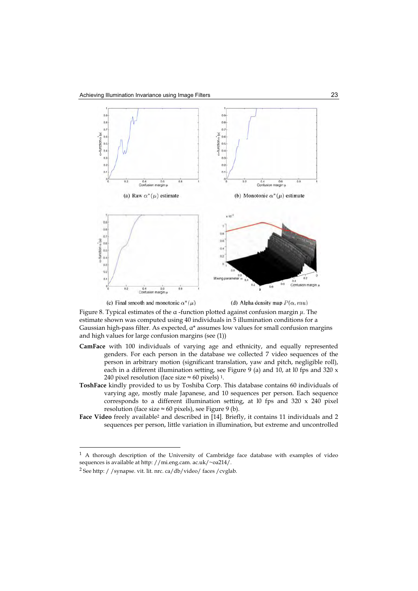

Figure 8. Typical estimates of the α -function plotted against confusion margin *μ*. The estimate shown was computed using 40 individuals in 5 illumination conditions for a

Gaussian high-pass filter. As expected,  $a*$  assumes low values for small confusion margins and high values for large confusion margins (see (1))

- **CamFace** with 100 individuals of varying age and ethnicity, and equally represented genders. For each person in the database we collected 7 video sequences of the person in arbitrary motion (significant translation, yaw and pitch, negligible roll), each in a different illumination setting, see Figure 9 (a) and 10, at 10 fps and 320  $x$ 240 pixel resolution (face size  $\approx$  60 pixels)<sup>1</sup>.
- **ToshFace** kindly provided to us by Toshiba Corp. This database contains 60 individuals of varying age, mostly male Japanese, and 10 sequences per person. Each sequence corresponds to a different illumination setting, at l0 fps and 320 x 240 pixel resolution (face size  $\approx$  60 pixels), see Figure 9 (b).
- **Face Video** freely available2 and described in [14]. Briefly, it contains 11 individuals and 2 sequences per person, little variation in illumination, but extreme and uncontrolled

-

 $1$  A thorough description of the University of Cambridge face database with examples of video sequences is available at http: //mi.eng.cam. ac.uk/~oa214/.

<sup>2</sup> See http: / /synapse. vit. lit. nrc. ca/db/video/ faces /cvglab.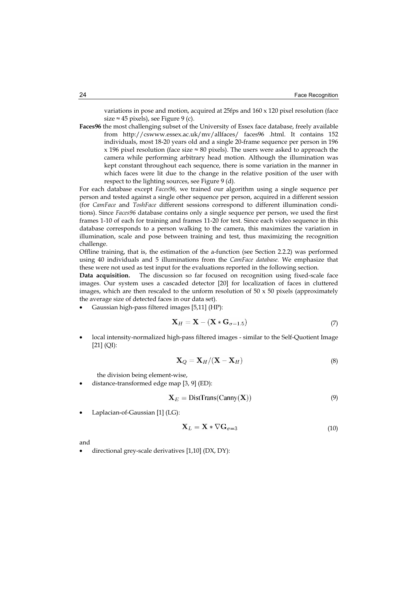variations in pose and motion, acquired at 25fps and 160 x 120 pixel resolution (face size  $\approx$  45 pixels), see Figure 9 (c).

**Faces96** the most challenging subset of the University of Essex face database, freely available from http://cswww.essex.ac.uk/mv/allfaces/ faces96 .html. It contains 152 individuals, most 18-20 years old and a single 20-frame sequence per person in 196 x 196 pixel resolution (face size  $\approx 80$  pixels). The users were asked to approach the camera while performing arbitrary head motion. Although the illumination was kept constant throughout each sequence, there is some variation in the manner in which faces were lit due to the change in the relative position of the user with respect to the lighting sources, see Figure 9 (d).

For each database except *Faces96,* we trained our algorithm using a single sequence per person and tested against a single other sequence per person, acquired in a different session (for *CamFace* and *ToshFace* different sessions correspond to different illumination conditions). Since *Faces96* database contains only a single sequence per person, we used the first frames 1-10 of each for training and frames 11-20 for test. Since each video sequence in this database corresponds to a person walking to the camera, this maximizes the variation in illumination, scale and pose between training and test, thus maximizing the recognition challenge.

Offline training, that is, the estimation of the a-function (see Section 2.2.2) was performed using 40 individuals and 5 illuminations from the *CamFace database.* We emphasize that these were not used as test input for the evaluations reported in the following section.

**Data acquisition.** The discussion so far focused on recognition using fixed-scale face images. Our system uses a cascaded detector [20] for localization of faces in cluttered images, which are then rescaled to the unform resolution of  $50 \times 50$  pixels (approximately the average size of detected faces in our data set).

• Gaussian high-pass filtered images [5,11] (HP):

$$
\mathbf{X}_H = \mathbf{X} - (\mathbf{X} \ast \mathbf{G}_{\sigma=1.5}) \tag{7}
$$

• local intensity-normalized high-pass filtered images - similar to the Self-Quotient Image [21] (QI):

$$
\mathbf{X}_Q = \mathbf{X}_H / (\mathbf{X} - \mathbf{X}_H) \tag{8}
$$

the division being element-wise,

• distance-transformed edge map [3, 9] (ED):

$$
\mathbf{X}_E = \text{DistTrans}(\text{Canny}(\mathbf{X})) \tag{9}
$$

• Laplacian-of-Gaussian [1] (LG):

$$
\mathbf{X}_L = \mathbf{X} \ast \nabla \mathbf{G}_{\sigma=3} \tag{10}
$$

and

• directional grey-scale derivatives [1,10] (DX, DY):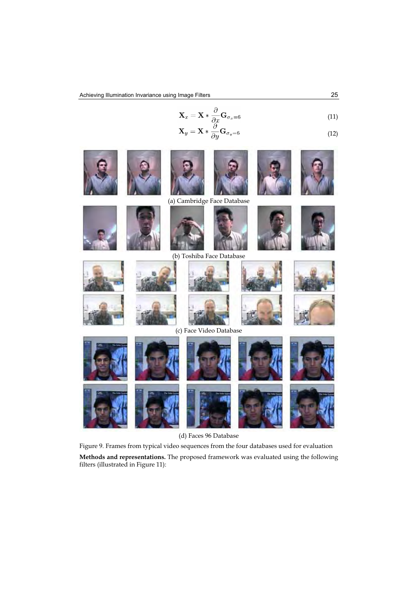$$
\mathbf{X}_{x} = \mathbf{X} * \frac{\partial}{\partial x} \mathbf{G}_{\sigma_{x} = 6}
$$
\n
$$
\mathbf{X}_{y} = \mathbf{X} * \frac{\partial}{\partial \mathbf{G}} \mathbf{G}_{\sigma_{x} = 6}
$$
\n(11)

$$
y = \mathbf{X} * \frac{1}{\partial y} \mathbf{G}_{\sigma_y = 6} \tag{12}
$$



(d) Faces 96 Database

Figure 9. Frames from typical video sequences from the four databases used for evaluation **Methods and representations.** The proposed framework was evaluated using the following filters (illustrated in Figure 11):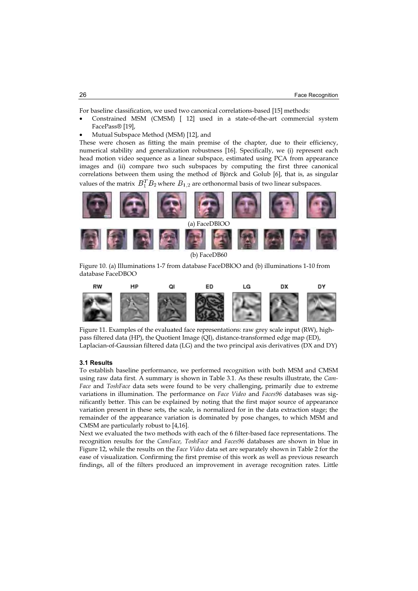For baseline classification, we used two canonical correlations-based [15] methods:

- Constrained MSM (CMSM) [ 12] used in a state-of-the-art commercial system FacePass® [19],
- Mutual Subspace Method (MSM) [12], and

These were chosen as fitting the main premise of the chapter, due to their efficiency, numerical stability and generalization robustness [16]. Specifically, we (i) represent each head motion video sequence as a linear subspace, estimated using PCA from appearance images and (ii) compare two such subspaces by computing the first three canonical correlations between them using the method of Björck and Golub [6], that is, as singular values of the matrix  $B_1^T B_2$  where  $B_{1,2}$  are orthonormal basis of two linear subspaces.



Figure 10. (a) Illuminations 1-7 from database FaceDBlOO and (b) illuminations 1-10 from database FaceDBOO



Figure 11. Examples of the evaluated face representations: raw grey scale input (RW), highpass filtered data (HP), the Quotient Image (QI), distance-transformed edge map (ED), Laplacian-of-Gaussian filtered data (LG) and the two principal axis derivatives (DX and DY)

#### **3.1 Results**

To establish baseline performance, we performed recognition with both MSM and CMSM using raw data first. A summary is shown in Table 3.1. As these results illustrate, the *Cam-Face* and *ToshFace* data sets were found to be very challenging, primarily due to extreme variations in illumination. The performance on *Face Video* and *Faces96* databases was significantly better. This can be explained by noting that the first major source of appearance variation present in these sets, the scale, is normalized for in the data extraction stage; the remainder of the appearance variation is dominated by pose changes, to which MSM and CMSM are particularly robust to [4,16].

Next we evaluated the two methods with each of the 6 filter-based face representations. The recognition results for the *CamFace, ToshFace* and *Faces96* databases are shown in blue in Figure 12, while the results on the *Face Video* data set are separately shown in Table 2 for the ease of visualization. Confirming the first premise of this work as well as previous research findings, all of the filters produced an improvement in average recognition rates. Little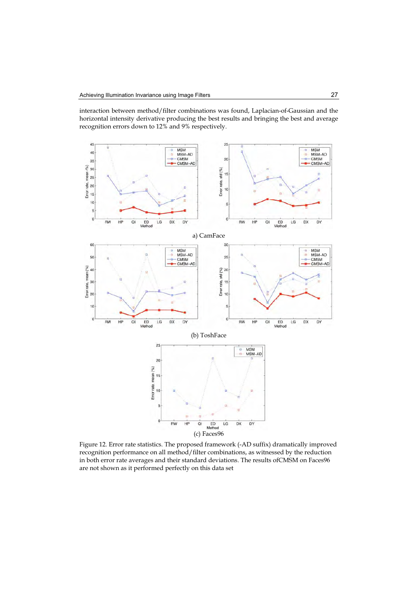interaction between method/filter combinations was found, Laplacian-of-Gaussian and the horizontal intensity derivative producing the best results and bringing the best and average recognition errors down to 12% and 9% respectively.



Figure 12. Error rate statistics. The proposed framework (-AD suffix) dramatically improved recognition performance on all method/filter combinations, as witnessed by the reduction in both error rate averages and their standard deviations. The results ofCMSM on Faces96 are not shown as it performed perfectly on this data set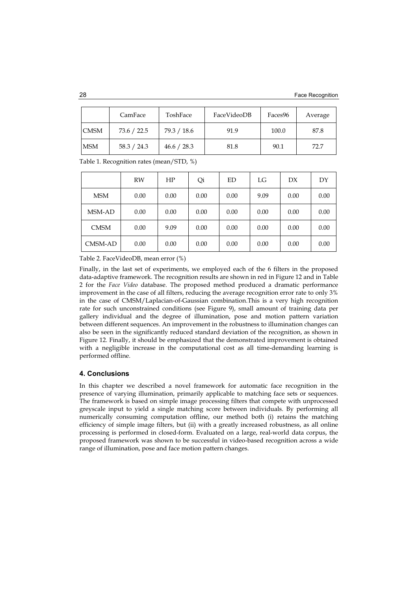|             | CamFace     | ToshFace    | FaceVideoDB | Faces96 | Average |
|-------------|-------------|-------------|-------------|---------|---------|
| <b>CMSM</b> | 73.6 / 22.5 | 79.3 / 18.6 | 91.9        | 100.0   | 87.8    |
| <b>MSM</b>  | 58.3 / 24.3 | 46.6 / 28.3 | 81.8        | 90.1    | 72.7    |

Table 1. Recognition rates (mean/STD, %)

|             | <b>RW</b> | HP   | Qi   | ED   | LG   | DX   | DY   |
|-------------|-----------|------|------|------|------|------|------|
| <b>MSM</b>  | 0.00      | 0.00 | 0.00 | 0.00 | 9.09 | 0.00 | 0.00 |
| MSM-AD      | 0.00      | 0.00 | 0.00 | 0.00 | 0.00 | 0.00 | 0.00 |
| <b>CMSM</b> | 0.00      | 9.09 | 0.00 | 0.00 | 0.00 | 0.00 | 0.00 |
| CMSM-AD     | 0.00      | 0.00 | 0.00 | 0.00 | 0.00 | 0.00 | 0.00 |

Table 2. FaceVideoDB, mean error (%)

Finally, in the last set of experiments, we employed each of the 6 filters in the proposed data-adaptive framework. The recognition results are shown in red in Figure 12 and in Table 2 for the *Face Video* database. The proposed method produced a dramatic performance improvement in the case of all filters, reducing the average recognition error rate to only 3% in the case of CMSM/Laplacian-of-Gaussian combination.This is a very high recognition rate for such unconstrained conditions (see Figure 9), small amount of training data per gallery individual and the degree of illumination, pose and motion pattern variation between different sequences. An improvement in the robustness to illumination changes can also be seen in the significantly reduced standard deviation of the recognition, as shown in Figure 12. Finally, it should be emphasized that the demonstrated improvement is obtained with a negligible increase in the computational cost as all time-demanding learning is performed offline.

# **4. Conclusions**

In this chapter we described a novel framework for automatic face recognition in the presence of varying illumination, primarily applicable to matching face sets or sequences. The framework is based on simple image processing filters that compete with unprocessed greyscale input to yield a single matching score between individuals. By performing all numerically consuming computation offline, our method both (i) retains the matching efficiency of simple image filters, but (ii) with a greatly increased robustness, as all online processing is performed in closed-form. Evaluated on a large, real-world data corpus, the proposed framework was shown to be successful in video-based recognition across a wide range of illumination, pose and face motion pattern changes.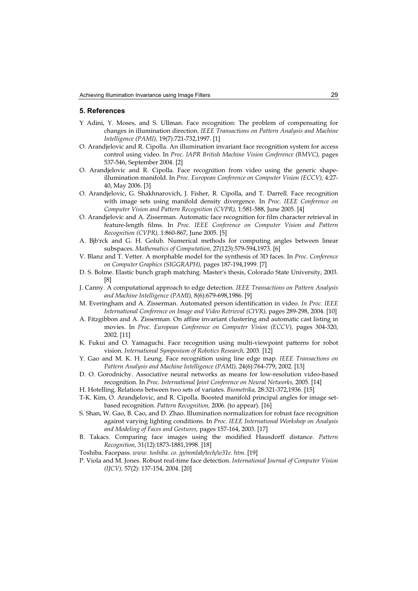# **5. References**

- Y Adini, Y. Moses, and S. Ullman. Face recognition: The problem of compensating for changes in illumination direction. *IEEE Transactions on Pattern Analysis and Machine Intelligence (PAMI),* 19(7):721-732,1997. [1]
- O. Arandjelovic and R. Cipolla. An illumination invariant face recognition system for access control using video. In *Proc. IAPR British Machine Vision Conference (BMVC),* pages 537-546, September 2004. [2]
- O. Arandjelovic and R. Cipolla. Face recognition from video using the generic shapeillumination manifold. In *Proc. European Conference on Computer Vision (ECCV),* 4:27- 40, May 2006. [3]
- O. Arandjelovic, G. Shakhnarovich, J. Fisher, R. Cipolla, and T. Darrell. Face recognition with image sets using manifold density divergence. In *Proc. IEEE Conference on Computer Vision and Pattern Recognition (CVPR),* 1:581-588, June 2005. [4]
- O. Arandjelovic and A. Zisserman. Automatic face recognition for film character retrieval in feature-length films. In *Proc. IEEE Conference on Computer Vision and Pattern Recognition (CVPR),* 1:860-867, June 2005. [5]
- A. Bjb'rck and G. H. Golub. Numerical methods for computing angles between linear subspaces. *Mathematics of Computation,* 27(123):579-594,1973. [6]
- V. Blanz and T. Vetter. A morphable model for the synthesis of 3D faces. In *Proc. Conference on Computer Graphics (SIGGRAPH),* pages 187-194,1999. [7]
- D. S. Bolme. Elastic bunch graph matching. Master's thesis, Colorado State University, 2003. [8]
- J. Canny. A computational approach to edge detection. *IEEE Transactions on Pattern Analysis and Machine Intelligence (PAMI),* 8(6):679-698,1986. [9]
- M. Everingham and A. Zisserman. Automated person identification in video. *In Proc. IEEE International Conference on Image and Video Retrieval (CIVR),* pages 289-298, 2004. [10]
- A. Fitzgibbon and A. Zisserman. On affine invariant clustering and automatic cast listing in movies. In *Proc. European Conference on Computer Vision (ECCV),* pages 304-320, 2002. [11]
- K. Fukui and O. Yamaguchi. Face recognition using multi-viewpoint patterns for robot vision. *International Symposium of Robotics Research,* 2003. [12]
- Y. Gao and M. K. H. Leung. Face recognition using line edge map. *IEEE Transactions on Pattern Analysis and Machine Intelligence (PAMI),* 24(6):764-779, 2002. [13]
- D. O. Gorodnichy. Associative neural networks as means for low-resolution video-based recognition. In *Proc. International Joint Conference on Neural Networks,* 2005. [14]
- H. Hotelling. Relations between two sets of variates. *Biometrika,* 28:321-372,1936. [15]
- T-K. Kim, O. Arandjelovic, and R. Cipolla. Boosted manifold principal angles for image setbased recognition. *Pattern Recognition,* 2006. (to appear). [16]
- S. Shan, W. Gao, B. Cao, and D. Zhao. Illumination normalization for robust face recognition against varying lighting conditions. In *Proc. IEEE International Workshop on Analysis and Modeling of Faces and Gestures,* pages 157-164, 2003. [17]
- B. Takacs. Comparing face images using the modified Hausdorff distance. *Pattern Recognition,* 31(12):1873-1881,1998. [18]
- Toshiba. Facepass. *www. toshiba. co. jp/mmlab/tech/w31e. htm.* [19]
- P. Viola and M. Jones. Robust real-time face detection. *International Journal of Computer Vision (IJCV),* 57(2): 137-154, 2004. [20]